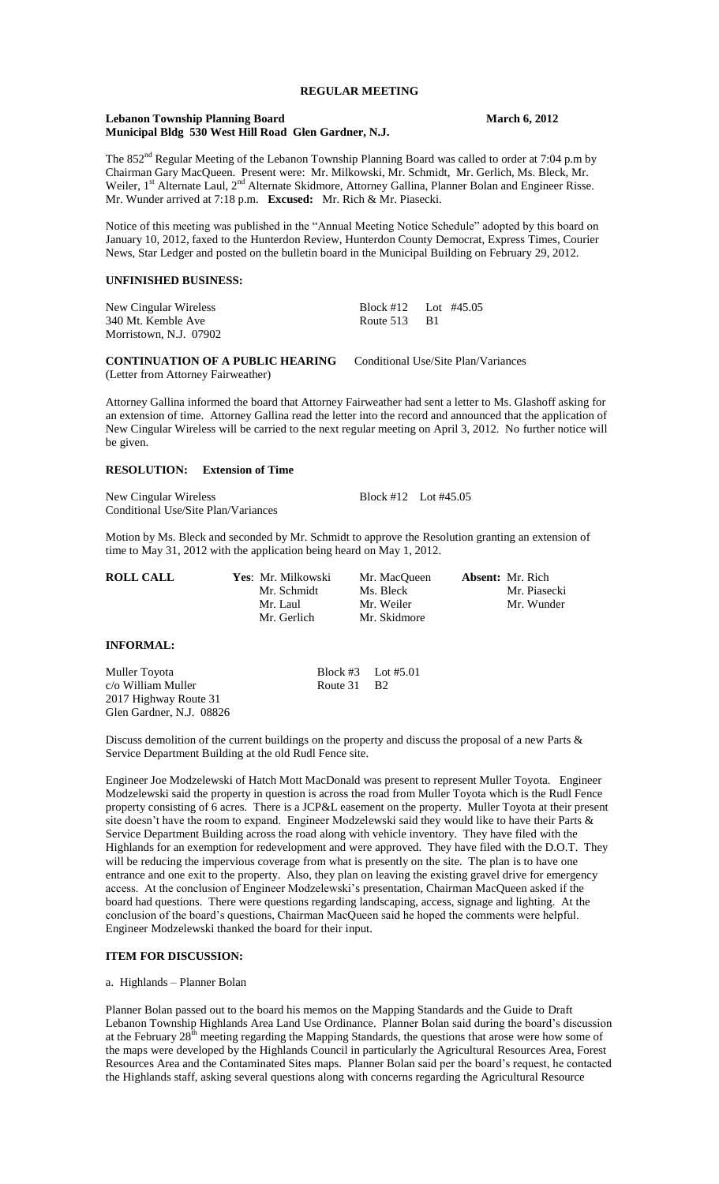# **REGULAR MEETING**

### **Lebanon Township Planning Board March 6, 2012 Municipal Bldg 530 West Hill Road Glen Gardner, N.J.**

The 852<sup>nd</sup> Regular Meeting of the Lebanon Township Planning Board was called to order at 7:04 p.m by Chairman Gary MacQueen. Present were: Mr. Milkowski, Mr. Schmidt, Mr. Gerlich, Ms. Bleck, Mr. Weiler, 1<sup>st</sup> Alternate Laul, 2<sup>nd</sup> Alternate Skidmore, Attorney Gallina, Planner Bolan and Engineer Risse. Mr. Wunder arrived at 7:18 p.m. **Excused:** Mr. Rich & Mr. Piasecki.

Notice of this meeting was published in the "Annual Meeting Notice Schedule" adopted by this board on January 10, 2012, faxed to the Hunterdon Review, Hunterdon County Democrat, Express Times, Courier News, Star Ledger and posted on the bulletin board in the Municipal Building on February 29, 2012.

## **UNFINISHED BUSINESS:**

| New Cingular Wireless  |              | Block #12 Lot #45.05 |
|------------------------|--------------|----------------------|
| 340 Mt. Kemble Ave     | Route 513 B1 |                      |
| Morristown, N.J. 07902 |              |                      |

**CONTINUATION OF A PUBLIC HEARING** Conditional Use/Site Plan/Variances (Letter from Attorney Fairweather)

Attorney Gallina informed the board that Attorney Fairweather had sent a letter to Ms. Glashoff asking for an extension of time. Attorney Gallina read the letter into the record and announced that the application of New Cingular Wireless will be carried to the next regular meeting on April 3, 2012. No further notice will be given.

# **RESOLUTION: Extension of Time**

New Cingular Wireless Block #12 Lot #45.05 Conditional Use/Site Plan/Variances

Motion by Ms. Bleck and seconded by Mr. Schmidt to approve the Resolution granting an extension of time to May 31, 2012 with the application being heard on May 1, 2012.

| <b>ROLL CALL</b> | Yes: Mr. Milkowski | Mr. MacOueen | <b>Absent:</b> Mr. Rich |
|------------------|--------------------|--------------|-------------------------|
|                  | Mr. Schmidt        | Ms. Bleck    | Mr. Piasecki            |
|                  | Mr. Laul           | Mr. Weiler   | Mr. Wunder              |
|                  | Mr. Gerlich        | Mr. Skidmore |                         |

# **INFORMAL:**

Muller Toyota Block #3 Lot #5.01 c/o William Muller 2017 Highway Route 31 Glen Gardner, N.J. 08826

Discuss demolition of the current buildings on the property and discuss the proposal of a new Parts & Service Department Building at the old Rudl Fence site.

Engineer Joe Modzelewski of Hatch Mott MacDonald was present to represent Muller Toyota. Engineer Modzelewski said the property in question is across the road from Muller Toyota which is the Rudl Fence property consisting of 6 acres. There is a JCP&L easement on the property. Muller Toyota at their present site doesn't have the room to expand. Engineer Modzelewski said they would like to have their Parts & Service Department Building across the road along with vehicle inventory. They have filed with the Highlands for an exemption for redevelopment and were approved. They have filed with the D.O.T. They will be reducing the impervious coverage from what is presently on the site. The plan is to have one entrance and one exit to the property. Also, they plan on leaving the existing gravel drive for emergency access. At the conclusion of Engineer Modzelewski's presentation, Chairman MacQueen asked if the board had questions. There were questions regarding landscaping, access, signage and lighting. At the conclusion of the board's questions, Chairman MacQueen said he hoped the comments were helpful. Engineer Modzelewski thanked the board for their input.

### **ITEM FOR DISCUSSION:**

a. Highlands – Planner Bolan

Planner Bolan passed out to the board his memos on the Mapping Standards and the Guide to Draft Lebanon Township Highlands Area Land Use Ordinance. Planner Bolan said during the board's discussion at the February 28<sup>th</sup> meeting regarding the Mapping Standards, the questions that arose were how some of the maps were developed by the Highlands Council in particularly the Agricultural Resources Area, Forest Resources Area and the Contaminated Sites maps. Planner Bolan said per the board's request, he contacted the Highlands staff, asking several questions along with concerns regarding the Agricultural Resource